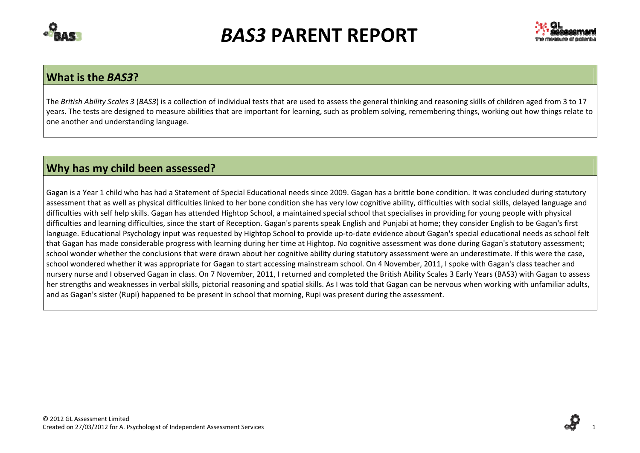



### **What is the** *BAS3***?**

The *British Ability Scales 3* (*BAS3*) is <sup>a</sup> collection of individual tests that are used to assess the general thinking and reasoning skills of children aged from 3 to 17 years. The tests are designed to measure abilities that are important for learning, such as problem solving, remembering things, working out how things relate to one another and understanding language.

## **Why has my child been assessed?**

Gagan is <sup>a</sup> Year 1 child who has had <sup>a</sup> Statement of Special Educational needs since 2009. Gagan has <sup>a</sup> brittle bone condition. It was concluded during statutory assessment that as well as physical difficulties linked to her bone condition she has very low cognitive ability, difficulties with social skills, delayed language and difficulties with self help skills. Gagan has attended Hightop School, <sup>a</sup> maintained special school that specialises in providing for young people with physical difficulties and learning difficulties, since the start of Reception. Gagan's parents speak English and Punjabi at home; they consider English to be Gagan's first language. Educational Psychology input was requested by Hightop School to provide up-to-date evidence about Gagan's special educational needs as school felt that Gagan has made considerable progress with learning during her time at Hightop. No cognitive assessment was done during Gagan's statutory assessment; school wonder whether the conclusions that were drawn about her cognitive ability during statutory assessment were an underestimate. If this were the case, school wondered whether it was appropriate for Gagan to start accessing mainstream school. On 4 November, 2011, I spoke with Gagan's class teacher and nursery nurse and I observed Gagan in class. On 7 November, 2011, I returned and completed the British Ability Scales 3 Early Years (BAS3) with Gagan to assess her strengths and weaknesses in verbal skills, pictorial reasoning and spatial skills. As I was told that Gagan can be nervous when working with unfamiliar adults, and as Gagan's sister (Rupi) happened to be present in school that morning, Rupi was present during the assessment.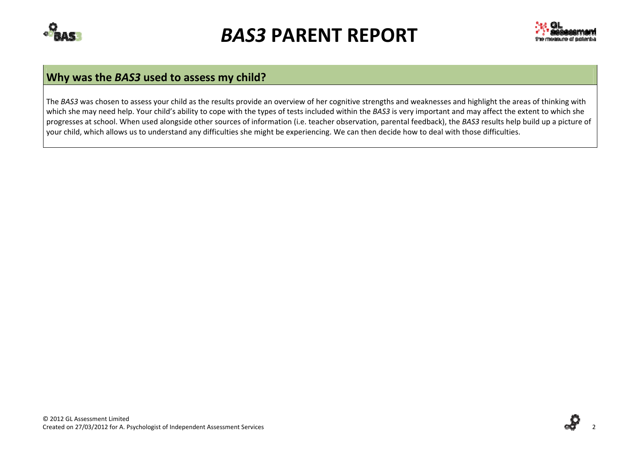



# **Why was the** *BAS3* **used to assess my child?**

The *BAS3* was chosen to assess your child as the results provide an overview of her cognitive strengths and weaknesses and highlight the areas of thinking with which she may need help. Your child's ability to cope with the types of tests included within the *BAS3* is very important and may affect the extent to which she progresses at school. When used alongside other sources of information (i.e. teacher observation, parental feedback), the *BAS3* results help build up <sup>a</sup> picture of your child, which allows us to understand any difficulties she might be experiencing. We can then decide how to deal with those difficulties.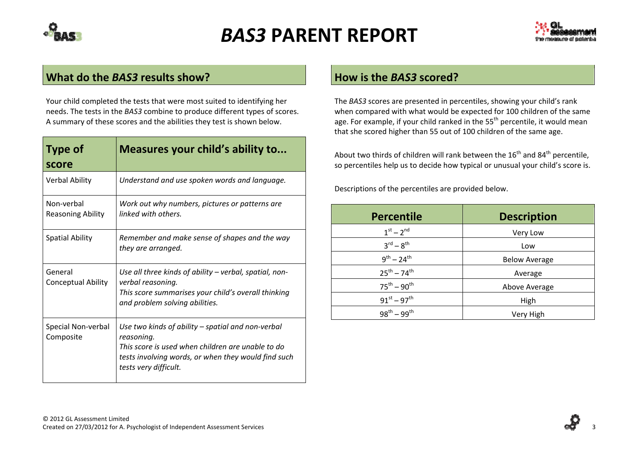



### **What do the** *BAS3* **results show?**

Your child completed the tests that were most suited to identifying her needs. The tests in the *BAS3* combine to produce different types of scores. A summary of these scores and the abilities they test is shown below.

| <b>Type of</b><br>score                | Measures your child's ability to                                                                                                                                                                     |
|----------------------------------------|------------------------------------------------------------------------------------------------------------------------------------------------------------------------------------------------------|
| <b>Verbal Ability</b>                  | Understand and use spoken words and language.                                                                                                                                                        |
| Non-verbal<br><b>Reasoning Ability</b> | Work out why numbers, pictures or patterns are<br>linked with others.                                                                                                                                |
| <b>Spatial Ability</b>                 | Remember and make sense of shapes and the way<br>they are arranged.                                                                                                                                  |
| General<br><b>Conceptual Ability</b>   | Use all three kinds of ability – verbal, spatial, non-<br>verbal reasoning.<br>This score summarises your child's overall thinking<br>and problem solving abilities.                                 |
| Special Non-verbal<br>Composite        | Use two kinds of ability – spatial and non-verbal<br>reasoning.<br>This score is used when children are unable to do<br>tests involving words, or when they would find such<br>tests very difficult. |

### **How is the** *BAS3* **scored?**

The *BAS3* scores are presented in percentiles, showing your child's rank when compared with what would be expected for 100 children of the same age. For example, if your child ranked in the 55<sup>th</sup> percentile, it would mean that she scored higher than 55 out of 100 children of the same age.

About two thirds of children will rank between the 16<sup>th</sup> and 84<sup>th</sup> percentile, so percentiles help us to decide how typical or unusual your child's score is.

Descriptions of the percentiles are provided below.

| <b>Percentile</b>               | <b>Description</b>   |
|---------------------------------|----------------------|
| $1^{st} - 2^{nd}$               | Very Low             |
| $3^{\text{rd}} - 8^{\text{th}}$ | Low                  |
| $9^{th} - 24^{th}$              | <b>Below Average</b> |
| $25^{th} - 74^{th}$             | Average              |
| $75^{th} - 90^{th}$             | Above Average        |
| $91^{st} - 97^{th}$             | High                 |
| $98^{th} - 99^{th}$             | Very High            |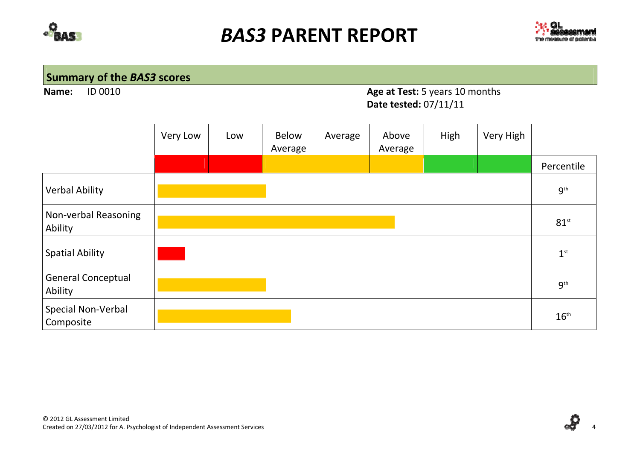



# **Summary of the** *BAS3* **scores**

**Name:ID 0010** 

### Age at Test: 5 years 10 months **Date tested:** 07/11/11

|                                      | Very Low | Low | <b>Below</b><br>Average | Average | Above<br>Average | High | Very High |                          |
|--------------------------------------|----------|-----|-------------------------|---------|------------------|------|-----------|--------------------------|
|                                      |          |     |                         |         |                  |      |           | Percentile               |
| <b>Verbal Ability</b>                |          |     |                         |         |                  |      |           | 9 <sup>th</sup>          |
| Non-verbal Reasoning<br>Ability      |          |     |                         |         |                  |      |           | $81$ <sup>st</sup>       |
| <b>Spatial Ability</b>               |          |     |                         |         |                  |      |           | $\mathbf{1}^{\text{st}}$ |
| <b>General Conceptual</b><br>Ability |          |     |                         |         |                  |      |           | $9^{\text{th}}$          |
| Special Non-Verbal<br>Composite      |          |     |                         |         |                  |      |           | $16^{\text{th}}$         |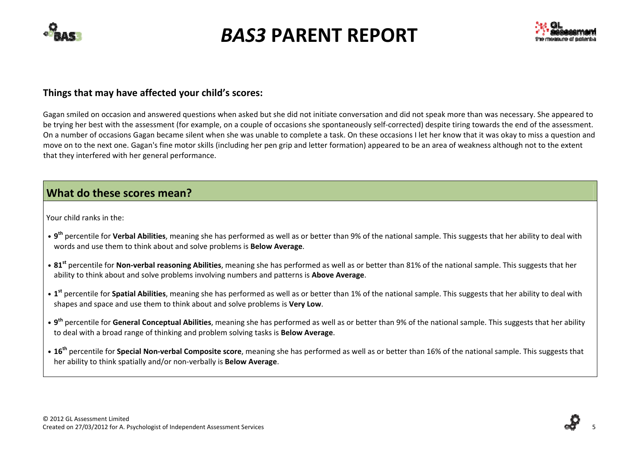



#### **Things that may have affected your child's scores:**

Gagan smiled on occasion and answered questions when asked but she did not initiate conversation and did not speak more than was necessary. She appeared to be trying her best with the assessment (for example, on <sup>a</sup> couple of occasions she spontaneously self‐corrected) despite tiring towards the end of the assessment. On <sup>a</sup> number of occasions Gagan became silent when she was unable to complete <sup>a</sup> task. On these occasions I let her know that it was okay to miss <sup>a</sup> question and move on to the next one. Gagan's fine motor skills (including her pen grip and letter formation) appeared to be an area of weakness although not to the extent that they interfered with her general performance.

## **What do these scores mean?**

Your child ranks in the:

- **• <sup>9</sup>th** percentile for **Verbal Abilities**, meaning she has performed as well as or better than 9% of the national sample. This suggests that her ability to deal with words and use them to think about and solve problems is **Below Average**.
- **• <sup>81</sup>st** percentile for **Non‐verbal reasoning Abilities**, meaning she has performed as well as or better than 81% of the national sample. This suggests that her ability to think about and solve problems involving numbers and patterns is **Above Average**.
- **• <sup>1</sup>st** percentile for **Spatial Abilities**, meaning she has performed as well as or better than 1% of the national sample. This suggests that her ability to deal with shapes and space and use them to think about and solve problems is **Very Low**.
- **• <sup>9</sup>th** percentile for **General Conceptual Abilities**, meaning she has performed as well as or better than 9% of the national sample. This suggests that her ability to deal with <sup>a</sup> broad range of thinking and problem solving tasks is **Below Average**.
- **• <sup>16</sup>th** percentile for **Special Non‐verbal Composite score**, meaning she has performed as well as or better than 16% of the national sample. This suggests that her ability to think spatially and/or non‐verbally is **Below Average**.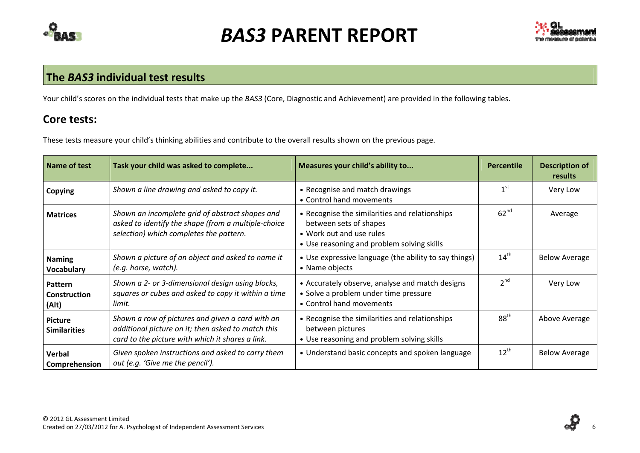



### **The** *BAS3* **individual test results**

Your child's scores on the individual tests that make up the *BAS3* (Core, Diagnostic and Achievement) are provided in the following tables.

## **Core tests:**

 $\overline{a}$ 

These tests measure your child's thinking abilities and contribute to the overall results shown on the previous page.

| Name of test                            | Task your child was asked to complete                                                                                                                      | Measures your child's ability to                                                                                                                   | <b>Percentile</b> | <b>Description of</b><br>results |
|-----------------------------------------|------------------------------------------------------------------------------------------------------------------------------------------------------------|----------------------------------------------------------------------------------------------------------------------------------------------------|-------------------|----------------------------------|
| Copying                                 | Shown a line drawing and asked to copy it.                                                                                                                 | • Recognise and match drawings<br>• Control hand movements                                                                                         | 1 <sup>st</sup>   | Very Low                         |
| <b>Matrices</b>                         | Shown an incomplete grid of abstract shapes and<br>asked to identify the shape (from a multiple-choice<br>selection) which completes the pattern.          | • Recognise the similarities and relationships<br>between sets of shapes<br>• Work out and use rules<br>• Use reasoning and problem solving skills | 62 <sup>nd</sup>  | Average                          |
| <b>Naming</b><br><b>Vocabulary</b>      | Shown a picture of an object and asked to name it<br>(e.g. horse, watch).                                                                                  | • Use expressive language (the ability to say things)<br>• Name objects                                                                            | $14^{\text{th}}$  | <b>Below Average</b>             |
| Pattern<br><b>Construction</b><br>(Alt) | Shown a 2- or 3-dimensional design using blocks,<br>squares or cubes and asked to copy it within a time<br>limit.                                          | • Accurately observe, analyse and match designs<br>• Solve a problem under time pressure<br>• Control hand movements                               | 2 <sup>nd</sup>   | Very Low                         |
| <b>Picture</b><br><b>Similarities</b>   | Shown a row of pictures and given a card with an<br>additional picture on it; then asked to match this<br>card to the picture with which it shares a link. | • Recognise the similarities and relationships<br>between pictures<br>• Use reasoning and problem solving skills                                   | 88 <sup>th</sup>  | Above Average                    |
| <b>Verbal</b><br>Comprehension          | Given spoken instructions and asked to carry them<br>out (e.g. 'Give me the pencil').                                                                      | • Understand basic concepts and spoken language                                                                                                    | $12^{\text{th}}$  | <b>Below Average</b>             |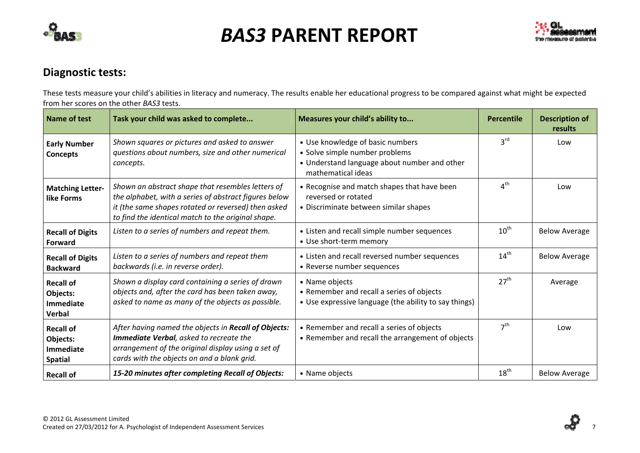



## **Diagnostic tests:**

These tests measure your child's abilities in literacy and numeracy. The results enable her educational progress to be compared against what might be expected from her scores on the other *BAS3* tests.

| <b>Name of test</b>                                         | Task your child was asked to complete                                                                                                                                                                                   | Measures your child's ability to                                                                                                         | <b>Percentile</b> | <b>Description of</b><br>results |
|-------------------------------------------------------------|-------------------------------------------------------------------------------------------------------------------------------------------------------------------------------------------------------------------------|------------------------------------------------------------------------------------------------------------------------------------------|-------------------|----------------------------------|
| <b>Early Number</b><br><b>Concepts</b>                      | Shown squares or pictures and asked to answer<br>questions about numbers, size and other numerical<br>concepts.                                                                                                         | • Use knowledge of basic numbers<br>• Solve simple number problems<br>• Understand language about number and other<br>mathematical ideas | 3 <sup>rd</sup>   | Low                              |
| <b>Matching Letter-</b><br>like Forms                       | Shown an abstract shape that resembles letters of<br>the alphabet, with a series of abstract figures below<br>it (the same shapes rotated or reversed) then asked<br>to find the identical match to the original shape. | • Recognise and match shapes that have been<br>reversed or rotated<br>• Discriminate between similar shapes                              | 4 <sup>th</sup>   | Low                              |
| <b>Recall of Digits</b><br>Forward                          | Listen to a series of numbers and repeat them.                                                                                                                                                                          | • Listen and recall simple number sequences<br>• Use short-term memory                                                                   | $10^{\text{th}}$  | <b>Below Average</b>             |
| <b>Recall of Digits</b><br><b>Backward</b>                  | Listen to a series of numbers and repeat them<br>backwards (i.e. in reverse order).                                                                                                                                     | • Listen and recall reversed number sequences<br>• Reverse number sequences                                                              | $14^{\text{th}}$  | <b>Below Average</b>             |
| <b>Recall of</b><br>Objects:<br>Immediate<br>Verbal         | Shown a display card containing a series of drawn<br>objects and, after the card has been taken away,<br>asked to name as many of the objects as possible.                                                              | • Name objects<br>• Remember and recall a series of objects<br>• Use expressive language (the ability to say things)                     | 27 <sup>th</sup>  | Average                          |
| <b>Recall of</b><br>Objects:<br>Immediate<br><b>Spatial</b> | After having named the objects in Recall of Objects:<br>Immediate Verbal, asked to recreate the<br>arrangement of the original display using a set of<br>cards with the objects on and a blank grid.                    | • Remember and recall a series of objects<br>• Remember and recall the arrangement of objects                                            | 7 <sup>th</sup>   | Low                              |
| <b>Recall of</b>                                            | 15-20 minutes after completing Recall of Objects:                                                                                                                                                                       | • Name objects                                                                                                                           | $18^{\text{th}}$  | <b>Below Average</b>             |

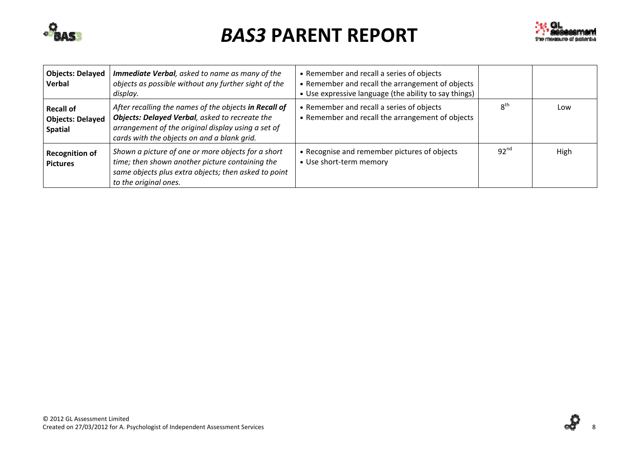



| <b>Objects: Delayed</b><br>Verbal                             | <b>Immediate Verbal</b> , asked to name as many of the<br>objects as possible without any further sight of the<br>display.                                                                                   | • Remember and recall a series of objects<br>• Remember and recall the arrangement of objects<br>• Use expressive language (the ability to say things) |                  |      |
|---------------------------------------------------------------|--------------------------------------------------------------------------------------------------------------------------------------------------------------------------------------------------------------|--------------------------------------------------------------------------------------------------------------------------------------------------------|------------------|------|
| <b>Recall of</b><br><b>Objects: Delayed</b><br><b>Spatial</b> | After recalling the names of the objects in Recall of<br>Objects: Delayed Verbal, asked to recreate the<br>arrangement of the original display using a set of<br>cards with the objects on and a blank grid. | • Remember and recall a series of objects<br>• Remember and recall the arrangement of objects                                                          | $8^{\text{th}}$  | Low  |
| <b>Recognition of</b><br><b>Pictures</b>                      | Shown a picture of one or more objects for a short<br>time; then shown another picture containing the<br>same objects plus extra objects; then asked to point<br>to the original ones.                       | • Recognise and remember pictures of objects<br>• Use short-term memory                                                                                | 92 <sup>nd</sup> | High |